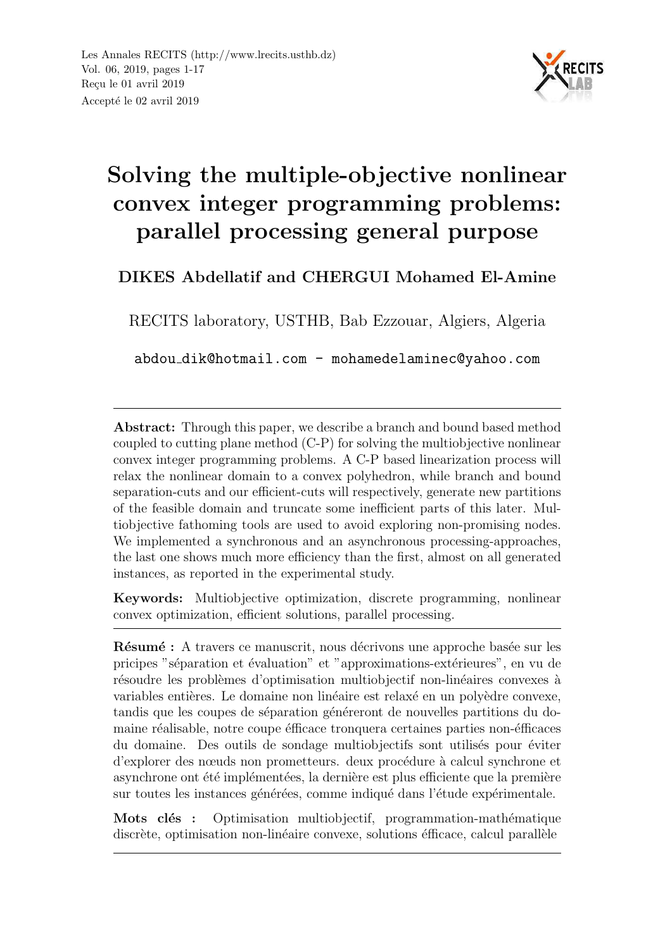

# Solving the multiple-objective nonlinear convex integer programming problems: parallel processing general purpose

DIKES Abdellatif and CHERGUI Mohamed El-Amine

RECITS laboratory, USTHB, Bab Ezzouar, Algiers, Algeria

abdou dik@hotmail.com - mohamedelaminec@yahoo.com

Abstract: Through this paper, we describe a branch and bound based method coupled to cutting plane method (C-P) for solving the multiobjective nonlinear convex integer programming problems. A C-P based linearization process will relax the nonlinear domain to a convex polyhedron, while branch and bound separation-cuts and our efficient-cuts will respectively, generate new partitions of the feasible domain and truncate some inefficient parts of this later. Multiobjective fathoming tools are used to avoid exploring non-promising nodes. We implemented a synchronous and an asynchronous processing-approaches, the last one shows much more efficiency than the first, almost on all generated instances, as reported in the experimental study.

Keywords: Multiobjective optimization, discrete programming, nonlinear convex optimization, efficient solutions, parallel processing.

Résumé : A travers ce manuscrit, nous décrivons une approche basée sur les pricipes "séparation et évaluation" et "approximations-extérieures", en vu de résoudre les problèmes d'optimisation multiobjectif non-linéaires convexes à variables entières. Le domaine non linéaire est relaxé en un polyèdre convexe, tandis que les coupes de séparation généreront de nouvelles partitions du domaine réalisable, notre coupe éfficace tronquera certaines parties non-éfficaces du domaine. Des outils de sondage multiobjectifs sont utilisés pour éviter d'explorer des nœuds non prometteurs. deux procédure à calcul synchrone et asynchrone ont été implémentées, la dernière est plus efficiente que la première sur toutes les instances générées, comme indiqué dans l'étude expérimentale.

Mots clés : Optimisation multiobjectif, programmation-mathématique discrète, optimisation non-linéaire convexe, solutions éfficace, calcul parallèle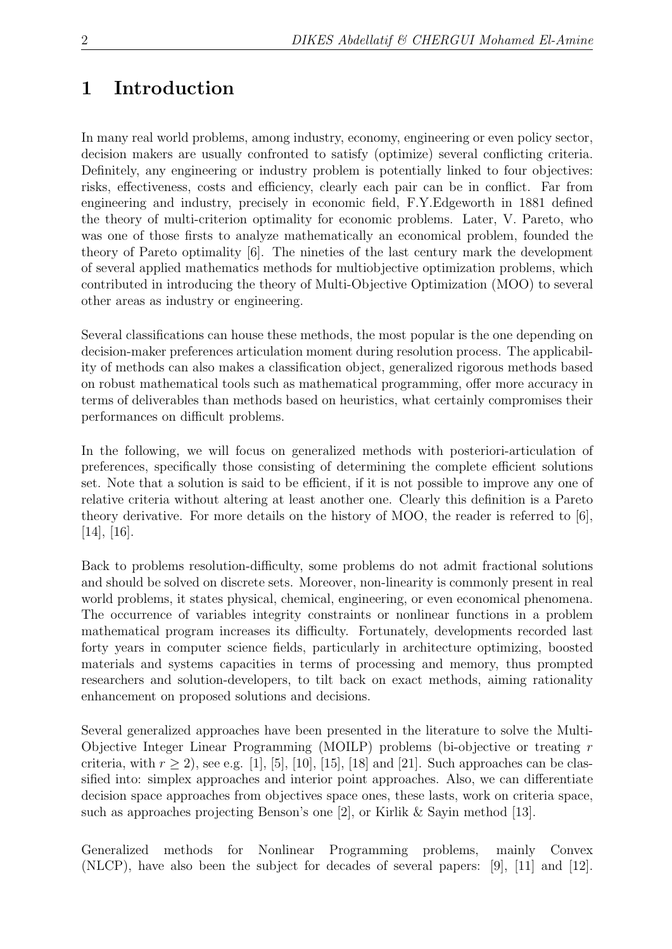### 1 Introduction

In many real world problems, among industry, economy, engineering or even policy sector, decision makers are usually confronted to satisfy (optimize) several conflicting criteria. Definitely, any engineering or industry problem is potentially linked to four objectives: risks, effectiveness, costs and efficiency, clearly each pair can be in conflict. Far from engineering and industry, precisely in economic field, F.Y.Edgeworth in 1881 defined the theory of multi-criterion optimality for economic problems. Later, V. Pareto, who was one of those firsts to analyze mathematically an economical problem, founded the theory of Pareto optimality [6]. The nineties of the last century mark the development of several applied mathematics methods for multiobjective optimization problems, which contributed in introducing the theory of Multi-Objective Optimization (MOO) to several other areas as industry or engineering.

Several classifications can house these methods, the most popular is the one depending on decision-maker preferences articulation moment during resolution process. The applicability of methods can also makes a classification object, generalized rigorous methods based on robust mathematical tools such as mathematical programming, offer more accuracy in terms of deliverables than methods based on heuristics, what certainly compromises their performances on difficult problems.

In the following, we will focus on generalized methods with posteriori-articulation of preferences, specifically those consisting of determining the complete efficient solutions set. Note that a solution is said to be efficient, if it is not possible to improve any one of relative criteria without altering at least another one. Clearly this definition is a Pareto theory derivative. For more details on the history of MOO, the reader is referred to [6],  $[14]$ ,  $[16]$ .

Back to problems resolution-difficulty, some problems do not admit fractional solutions and should be solved on discrete sets. Moreover, non-linearity is commonly present in real world problems, it states physical, chemical, engineering, or even economical phenomena. The occurrence of variables integrity constraints or nonlinear functions in a problem mathematical program increases its difficulty. Fortunately, developments recorded last forty years in computer science fields, particularly in architecture optimizing, boosted materials and systems capacities in terms of processing and memory, thus prompted researchers and solution-developers, to tilt back on exact methods, aiming rationality enhancement on proposed solutions and decisions.

Several generalized approaches have been presented in the literature to solve the Multi-Objective Integer Linear Programming (MOILP) problems (bi-objective or treating r criteria, with  $r \ge 2$ ), see e.g. [1], [5], [10], [15], [18] and [21]. Such approaches can be classified into: simplex approaches and interior point approaches. Also, we can differentiate decision space approaches from objectives space ones, these lasts, work on criteria space, such as approaches projecting Benson's one [2], or Kirlik & Sayin method [13].

Generalized methods for Nonlinear Programming problems, mainly Convex (NLCP), have also been the subject for decades of several papers: [9], [11] and [12].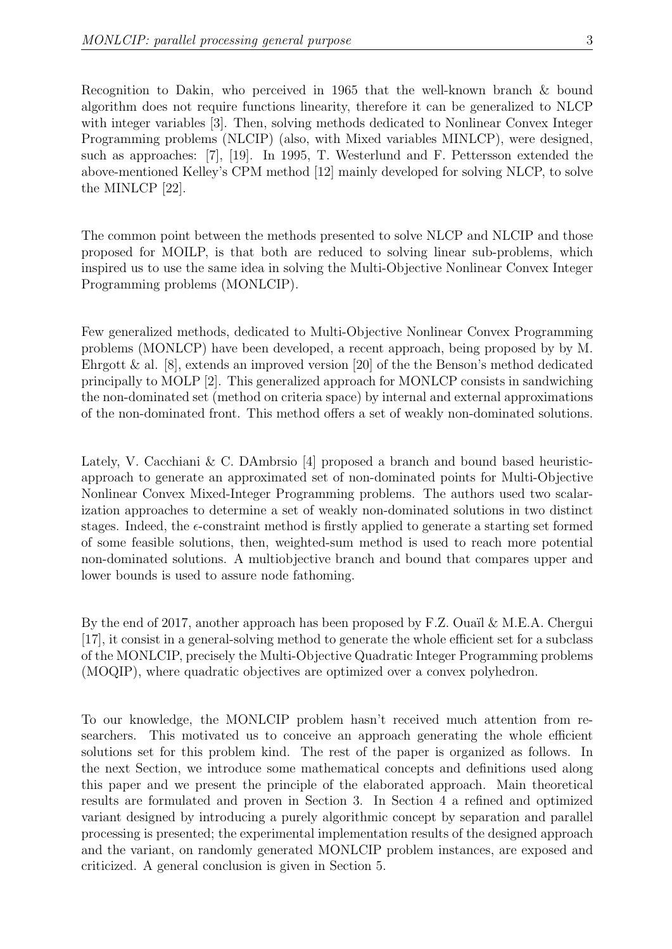Recognition to Dakin, who perceived in 1965 that the well-known branch & bound algorithm does not require functions linearity, therefore it can be generalized to NLCP with integer variables [3]. Then, solving methods dedicated to Nonlinear Convex Integer Programming problems (NLCIP) (also, with Mixed variables MINLCP), were designed, such as approaches: [7], [19]. In 1995, T. Westerlund and F. Pettersson extended the above-mentioned Kelley's CPM method [12] mainly developed for solving NLCP, to solve the MINLCP [22].

The common point between the methods presented to solve NLCP and NLCIP and those proposed for MOILP, is that both are reduced to solving linear sub-problems, which inspired us to use the same idea in solving the Multi-Objective Nonlinear Convex Integer Programming problems (MONLCIP).

Few generalized methods, dedicated to Multi-Objective Nonlinear Convex Programming problems (MONLCP) have been developed, a recent approach, being proposed by by M. Ehrgott & al.  $[8]$ , extends an improved version  $[20]$  of the the Benson's method dedicated principally to MOLP [2]. This generalized approach for MONLCP consists in sandwiching the non-dominated set (method on criteria space) by internal and external approximations of the non-dominated front. This method offers a set of weakly non-dominated solutions.

Lately, V. Cacchiani & C. DAmbrsio [4] proposed a branch and bound based heuristicapproach to generate an approximated set of non-dominated points for Multi-Objective Nonlinear Convex Mixed-Integer Programming problems. The authors used two scalarization approaches to determine a set of weakly non-dominated solutions in two distinct stages. Indeed, the  $\epsilon$ -constraint method is firstly applied to generate a starting set formed of some feasible solutions, then, weighted-sum method is used to reach more potential non-dominated solutions. A multiobjective branch and bound that compares upper and lower bounds is used to assure node fathoming.

By the end of 2017, another approach has been proposed by F.Z. Quail & M.E.A. Chergui [17], it consist in a general-solving method to generate the whole efficient set for a subclass of the MONLCIP, precisely the Multi-Objective Quadratic Integer Programming problems (MOQIP), where quadratic objectives are optimized over a convex polyhedron.

To our knowledge, the MONLCIP problem hasn't received much attention from researchers. This motivated us to conceive an approach generating the whole efficient solutions set for this problem kind. The rest of the paper is organized as follows. In the next Section, we introduce some mathematical concepts and definitions used along this paper and we present the principle of the elaborated approach. Main theoretical results are formulated and proven in Section 3. In Section 4 a refined and optimized variant designed by introducing a purely algorithmic concept by separation and parallel processing is presented; the experimental implementation results of the designed approach and the variant, on randomly generated MONLCIP problem instances, are exposed and criticized. A general conclusion is given in Section 5.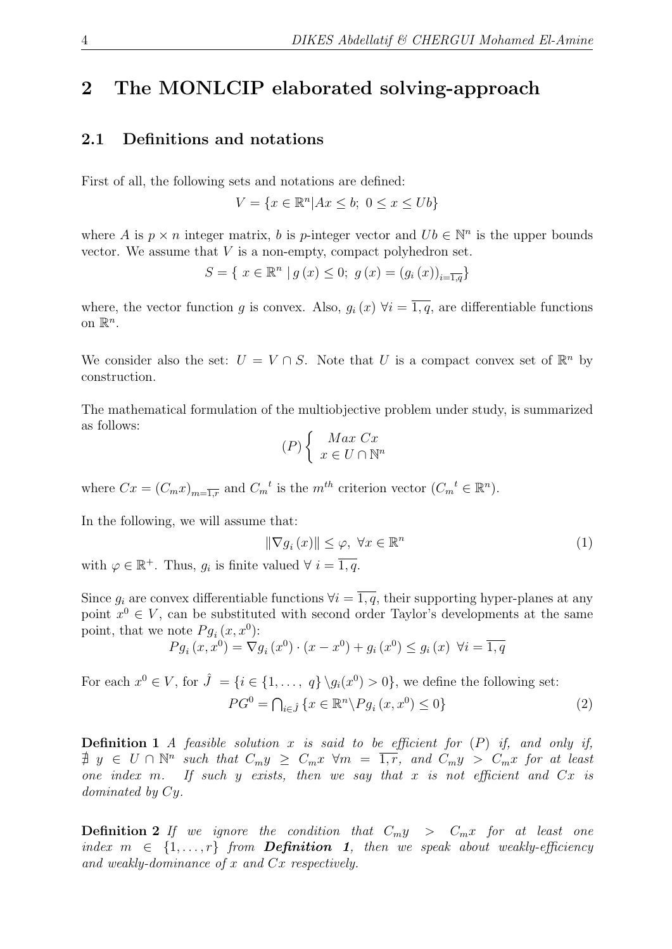### 2 The MONLCIP elaborated solving-approach

#### 2.1 Definitions and notations

First of all, the following sets and notations are defined:

 $V = \{x \in \mathbb{R}^n | Ax \leq b; \ 0 \leq x \leq Ub\}$ 

where A is  $p \times n$  integer matrix, b is p-integer vector and  $Ub \in \mathbb{N}^n$  is the upper bounds vector. We assume that  $V$  is a non-empty, compact polyhedron set.

$$
S = \{ x \in \mathbb{R}^n \mid g(x) \le 0; g(x) = (g_i(x))_{i=\overline{1,q}} \}
$$

where, the vector function g is convex. Also,  $g_i(x)$   $\forall i = \overline{1, q}$ , are differentiable functions on  $\mathbb{R}^n$ .

We consider also the set:  $U = V \cap S$ . Note that U is a compact convex set of  $\mathbb{R}^n$  by construction.

The mathematical formulation of the multiobjective problem under study, is summarized as follows:

$$
(P)\left\{\begin{array}{c}\nMax\ Cx\\ \nx \in U \cap \mathbb{N}^n\end{array}\right.
$$

where  $Cx = (C_m x)_{m=\overline{1,r}}$  and  $C_m^t$  is the  $m^{th}$  criterion vector  $(C_m^t \in \mathbb{R}^n)$ .

In the following, we will assume that:

$$
\|\nabla g_i(x)\| \le \varphi, \ \forall x \in \mathbb{R}^n \tag{1}
$$

with  $\varphi \in \mathbb{R}^+$ . Thus,  $g_i$  is finite valued  $\forall i = \overline{1, q}$ .

Since  $q_i$  are convex differentiable functions  $\forall i = \overline{1, q}$ , their supporting hyper-planes at any point  $x^0 \in V$ , can be substituted with second order Taylor's developments at the same point, that we note  $Pg_i(x, x^0)$ :

$$
Pg_i(x, x^0) = \nabla g_i(x^0) \cdot (x - x^0) + g_i(x^0) \le g_i(x) \ \forall i = \overline{1, q}
$$

For each  $x^0 \in V$ , for  $\hat{J} = \{i \in \{1, ..., q\} \setminus g_i(x^0) > 0\}$ , we define the following set:  $PG^{0} = \bigcap_{i \in \hat{J}} \{x \in \mathbb{R}^{n} \backslash Pg_{i}(x, x^{0}) \leq 0\}$  (2)

**Definition 1** A feasible solution x is said to be efficient for  $(P)$  if, and only if,  $\sharp y \in U \cap \mathbb{N}^n$  such that  $C_m y \geq C_m x \ \forall m = \overline{1, r}$ , and  $C_m y > C_m x$  for at least one index m. If such y exists, then we say that x is not efficient and  $Cx$  is dominated by Cy.

**Definition 2** If we ignore the condition that  $C_{m}y > C_{m}x$  for at least one index  $m \in \{1, \ldots, r\}$  from **Definition 1**, then we speak about weakly-efficiency and weakly-dominance of x and Cx respectively.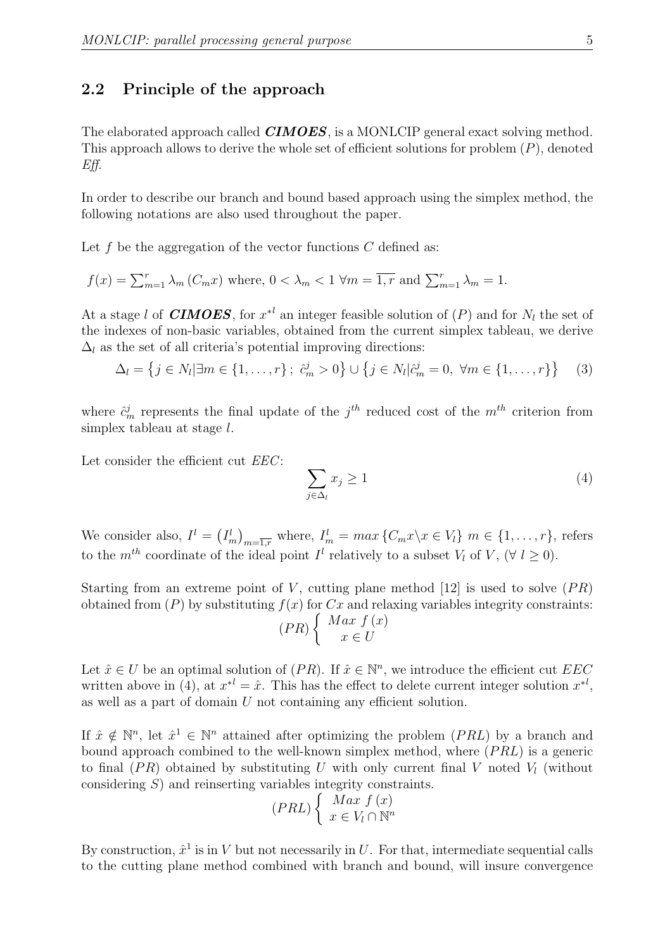#### 2.2 Principle of the approach

The elaborated approach called **CIMOES**, is a MONLCIP general exact solving method. This approach allows to derive the whole set of efficient solutions for problem  $(P)$ , denoted Eff.

In order to describe our branch and bound based approach using the simplex method, the following notations are also used throughout the paper.

Let  $f$  be the aggregation of the vector functions  $C$  defined as:

$$
f(x) = \sum_{m=1}^{r} \lambda_m (C_m x)
$$
 where,  $0 < \lambda_m < 1$   $\forall m = \overline{1, r}$  and  $\sum_{m=1}^{r} \lambda_m = 1$ .

At a stage l of **CIMOES**, for  $x^*$  an integer feasible solution of  $(P)$  and for  $N_l$  the set of the indexes of non-basic variables, obtained from the current simplex tableau, we derive  $\Delta_l$  as the set of all criteria's potential improving directions:

$$
\Delta_l = \left\{ j \in N_l | \exists m \in \{1, ..., r\} ; \ \hat{c}_m^j > 0 \right\} \cup \left\{ j \in N_l | \hat{c}_m^j = 0, \ \forall m \in \{1, ..., r\} \right\} \tag{3}
$$

where  $\hat{c}_m^j$  represents the final update of the  $j^{th}$  reduced cost of the  $m^{th}$  criterion from simplex tableau at stage l.

Let consider the efficient cut *EEC*:

$$
\sum_{j \in \Delta_l} x_j \ge 1 \tag{4}
$$

We consider also,  $I^l = (I_m^l)_{m=\overline{1,r}}$  where,  $I_m^l = max \{C_m x \mid x \in V_l\}$   $m \in \{1, \ldots, r\}$ , refers to the  $m^{th}$  coordinate of the ideal point  $I^l$  relatively to a subset  $V_l$  of  $V$ ,  $(\forall l \geq 0)$ .

Starting from an extreme point of V, cutting plane method [12] is used to solve  $(PR)$ obtained from  $(P)$  by substituting  $f(x)$  for  $Cx$  and relaxing variables integrity constraints:  $(PR)$  $\int Max f(x)$  $x \in U$ 

Let  $\hat{x} \in U$  be an optimal solution of  $(PR)$ . If  $\hat{x} \in \mathbb{N}^n$ , we introduce the efficient cut EEC written above in (4), at  $x^{*l} = \hat{x}$ . This has the effect to delete current integer solution  $x^{*l}$ , as well as a part of domain U not containing any efficient solution.

If  $\hat{x} \notin \mathbb{N}^n$ , let  $\hat{x}^1 \in \mathbb{N}^n$  attained after optimizing the problem  $(PRL)$  by a branch and bound approach combined to the well-known simplex method, where  $(PRL)$  is a generic to final  $(PR)$  obtained by substituting U with only current final V noted  $V<sub>l</sub>$  (without considering S) and reinserting variables integrity constraints.

$$
(PRL)\begin{cases} Max \ f(x) \\ x \in V_l \cap \mathbb{N}^n \end{cases}
$$

By construction,  $\hat{x}^1$  is in V but not necessarily in U. For that, intermediate sequential calls to the cutting plane method combined with branch and bound, will insure convergence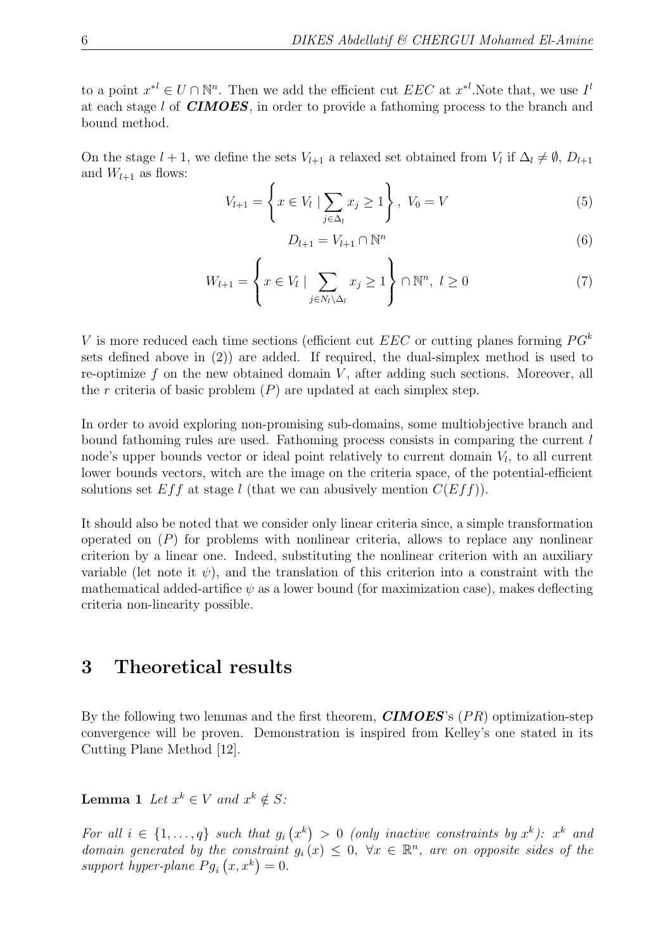to a point  $x^{*l} \in U \cap \mathbb{N}^n$ . Then we add the efficient cut  $EEC$  at  $x^{*l}$ . Note that, we use  $I^l$ at each stage l of CIMOES, in order to provide a fathoming process to the branch and bound method.

On the stage  $l + 1$ , we define the sets  $V_{l+1}$  a relaxed set obtained from  $V_l$  if  $\Delta_l \neq \emptyset$ ,  $D_{l+1}$ and  $W_{l+1}$  as flows:

$$
V_{l+1} = \left\{ x \in V_l \mid \sum_{j \in \Delta_l} x_j \ge 1 \right\}, \ V_0 = V \tag{5}
$$

$$
D_{l+1} = V_{l+1} \cap \mathbb{N}^n \tag{6}
$$

$$
W_{l+1} = \left\{ x \in V_l \mid \sum_{j \in N_l \setminus \Delta_l} x_j \ge 1 \right\} \cap \mathbb{N}^n, \ l \ge 0 \tag{7}
$$

V is more reduced each time sections (efficient cut  $EEC$  or cutting planes forming  $PG<sup>k</sup>$ sets defined above in (2)) are added. If required, the dual-simplex method is used to re-optimize  $f$  on the new obtained domain  $V$ , after adding such sections. Moreover, all the r criteria of basic problem  $(P)$  are updated at each simplex step.

In order to avoid exploring non-promising sub-domains, some multiobjective branch and bound fathoming rules are used. Fathoming process consists in comparing the current l node's upper bounds vector or ideal point relatively to current domain  $V_l$ , to all current lower bounds vectors, witch are the image on the criteria space, of the potential-efficient solutions set  $Eff$  at stage l (that we can abusively mention  $C(Eff)$ ).

It should also be noted that we consider only linear criteria since, a simple transformation operated on  $(P)$  for problems with nonlinear criteria, allows to replace any nonlinear criterion by a linear one. Indeed, substituting the nonlinear criterion with an auxiliary variable (let note it  $\psi$ ), and the translation of this criterion into a constraint with the mathematical added-artifice  $\psi$  as a lower bound (for maximization case), makes deflecting criteria non-linearity possible.

### 3 Theoretical results

By the following two lemmas and the first theorem,  $\textit{CIMOES}$ 's (PR) optimization-step convergence will be proven. Demonstration is inspired from Kelley's one stated in its Cutting Plane Method [12].

**Lemma 1** Let  $x^k \in V$  and  $x^k \notin S$ :

For all  $i \in \{1, ..., q\}$  such that  $g_i(x^k) > 0$  (only inactive constraints by  $x^k$ ):  $x^k$  and domain generated by the constraint  $g_i(x) \leq 0$ ,  $\forall x \in \mathbb{R}^n$ , are on opposite sides of the support hyper-plane  $Pg_i(x, x^k) = 0$ .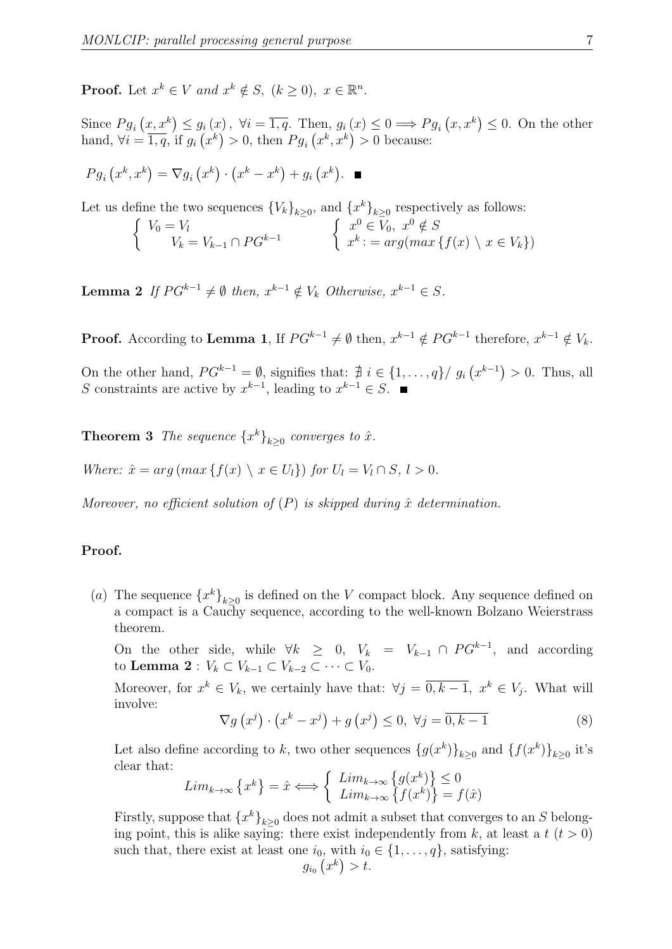**Proof.** Let  $x^k \in V$  and  $x^k \notin S$ ,  $(k \ge 0)$ ,  $x \in \mathbb{R}^n$ .

Since  $Pg_i(x, x^k) \leq g_i(x)$ ,  $\forall i = \overline{1, q}$ . Then,  $g_i(x) \leq 0 \Longrightarrow Pg_i(x, x^k) \leq 0$ . On the other hand,  $\forall i = \overline{1,q}$ , if  $g_i(x^k) > 0$ , then  $Pg_i(x^k, x^k) > 0$  because:

$$
Pg_i(x^k, x^k) = \nabla g_i(x^k) \cdot (x^k - x^k) + g_i(x^k). \quad \blacksquare
$$

Let us define the two sequences  ${V_k}_{k\geq 0}$ , and  ${x^k}_{k\geq 0}$  respectively as follows:

$$
\begin{cases}\nV_0 = V_l \\
V_k = V_{k-1} \cap PG^{k-1}\n\end{cases}\n\qquad\n\begin{cases}\nx^0 \in V_0, \ x^0 \notin S \\
x^k := arg(max\{f(x) \setminus x \in V_k\}\n\end{cases}
$$

**Lemma 2** If  $PG^{k-1} \neq \emptyset$  then,  $x^{k-1} \notin V_k$  Otherwise,  $x^{k-1} \in S$ .

**Proof.** According to **Lemma 1**, If  $PG^{k-1} \neq \emptyset$  then,  $x^{k-1} \notin PG^{k-1}$  therefore,  $x^{k-1} \notin V_k$ .

On the other hand,  $PG^{k-1} = \emptyset$ , signifies that:  $\sharp i \in \{1, ..., q\} / g_i(x^{k-1}) > 0$ . Thus, all S constraints are active by  $x^{k-1}$ , leading to  $x^{k-1} \in S$ .

**Theorem 3** The sequence  $\{x^k\}_{k\geq 0}$  converges to  $\hat{x}$ .

Where:  $\hat{x} = arg(max\{f(x) \setminus x \in U_l\})$  for  $U_l = V_l \cap S, l > 0$ .

Moreover, no efficient solution of  $(P)$  is skipped during  $\hat{x}$  determination.

#### Proof.

(a) The sequence  $\{x^k\}_{k\geq 0}$  is defined on the V compact block. Any sequence defined on a compact is a Cauchy sequence, according to the well-known Bolzano Weierstrass theorem.

On the other side, while  $\forall k \geq 0, V_k = V_{k-1} \cap PG^{k-1}$ , and according to Lemma 2 :  $V_k \subset V_{k-1} \subset V_{k-2} \subset \cdots \subset V_0$ .

Moreover, for  $x^k \in V_k$ , we certainly have that:  $\forall j = \overline{0, k-1}, x^k \in V_j$ . What will involve:

$$
\nabla g\left(x^{j}\right)\cdot\left(x^{k}-x^{j}\right)+g\left(x^{j}\right)\leq 0, \ \forall j=\overline{0,k-1} \tag{8}
$$

Let also define according to k, two other sequences  $\{g(x^k)\}_{k\geq 0}$  and  $\{f(x^k)\}_{k\geq 0}$  it's clear that:

$$
Lim_{k\to\infty}\left\{x^k\right\} = \hat{x} \Longleftrightarrow \left\{\begin{array}{l}\text{Lim}_{k\to\infty}\left\{g(x^k)\right\} \leq 0\\ \text{Lim}_{k\to\infty}\left\{f(x^k)\right\} = f(\hat{x})\end{array}\right.
$$

Firstly, suppose that  $\{x^k\}_{k\geq 0}$  does not admit a subset that converges to an S belonging point, this is alike saying: there exist independently from k, at least a  $t$   $(t > 0)$ such that, there exist at least one  $i_0$ , with  $i_0 \in \{1, \ldots, q\}$ , satisfying:  $g_{i_0}(x^k) > t.$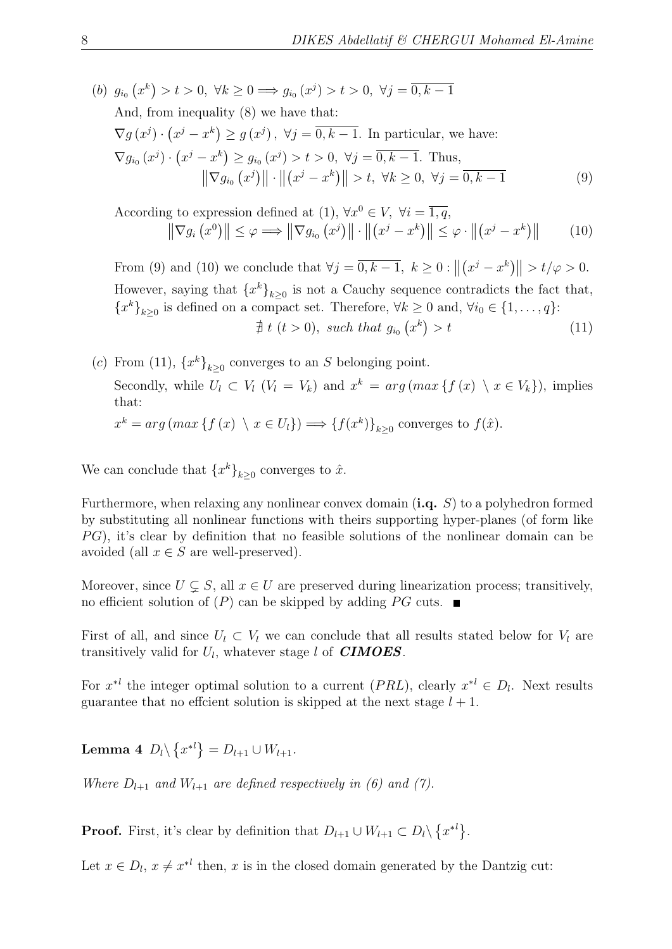(b)  $g_{i_0}(x^k) > t > 0, \ \forall k \geq 0 \Longrightarrow g_{i_0}(x^j) > t > 0, \ \forall j = \overline{0, k-1}$ And, from inequality (8) we have that:  $\nabla g(x^j) \cdot (x^j - x^k) \ge g(x^j), \ \forall j = \overline{0, k-1}.$  In particular, we have:  $\nabla g_{i_0}(x^j) \cdot (x^j - x^k) \ge g_{i_0}(x^j) > t > 0, \ \forall j = \overline{0, k - 1}.$  Thus,  $\|\nabla g_{i_0}(x^j)\| \cdot \| (x^j - x^k) \| > t, \ \forall k \ge 0, \ \forall j = \overline{0, k - 1}$  (9)

According to expression defined at (1),  $\forall x^0 \in V$ ,  $\forall i = \overline{1, q}$ ,  $\|\nabla g_i(x^0)\| \leq \varphi \Longrightarrow \|\nabla g_{i_0}(x^j)\| \cdot \|(x^j - x^k)\| \leq \varphi \cdot \|(x^j - x^k)\|$ (10)

From (9) and (10) we conclude that  $\forall j = \overline{0, k-1}, k \ge 0 : ||(x^j - x^k)|| > t/\varphi > 0.$ However, saying that  $\{x^k\}_{k\geq 0}$  is not a Cauchy sequence contradicts the fact that,  ${x^k}_{k\geq 0}$  is defined on a compact set. Therefore,  $\forall k \geq 0$  and,  $\forall i_0 \in \{1, ..., q\}$ :

 $\nexists t$   $(t > 0)$ , such that  $g_{i_0}(x^k)$  $(11)$ 

\n- (c) From (11), 
$$
\{x^k\}_{k\geq 0}
$$
 converges to an S belonging point.
\n- Secondly, while  $U_l \subset V_l$   $(V_l = V_k)$  and  $x^k = \arg(\max \{f(x) \setminus x \in V_k\})$ , implies that:
\n- $x^k = \arg(\max \{f(x) \setminus x \in U_l\}) \Longrightarrow \{f(x^k)\}_{k\geq 0}$  converges to  $f(\hat{x})$ .
\n

We can conclude that  $\{x^k\}_{k\geq 0}$  converges to  $\hat{x}$ .

Furthermore, when relaxing any nonlinear convex domain  $(i.q. S)$  to a polyhedron formed by substituting all nonlinear functions with theirs supporting hyper-planes (of form like  $PG$ , it's clear by definition that no feasible solutions of the nonlinear domain can be avoided (all  $x \in S$  are well-preserved).

Moreover, since  $U \subseteq S$ , all  $x \in U$  are preserved during linearization process; transitively, no efficient solution of  $(P)$  can be skipped by adding PG cuts.

First of all, and since  $U_l \subset V_l$  we can conclude that all results stated below for  $V_l$  are transitively valid for  $U_l$ , whatever stage l of **CIMOES**.

For  $x^{*l}$  the integer optimal solution to a current  $(PRL)$ , clearly  $x^{*l} \in D_l$ . Next results guarantee that no efficient solution is skipped at the next stage  $l + 1$ .

**Lemma 4**  $D_l \setminus \{x^{*l}\} = D_{l+1} \cup W_{l+1}.$ 

Where  $D_{l+1}$  and  $W_{l+1}$  are defined respectively in (6) and (7).

**Proof.** First, it's clear by definition that  $D_{l+1} \cup W_{l+1} \subset D_l \setminus \{x^{*l}\}.$ 

Let  $x \in D_l$ ,  $x \neq x^{*l}$  then, x is in the closed domain generated by the Dantzig cut: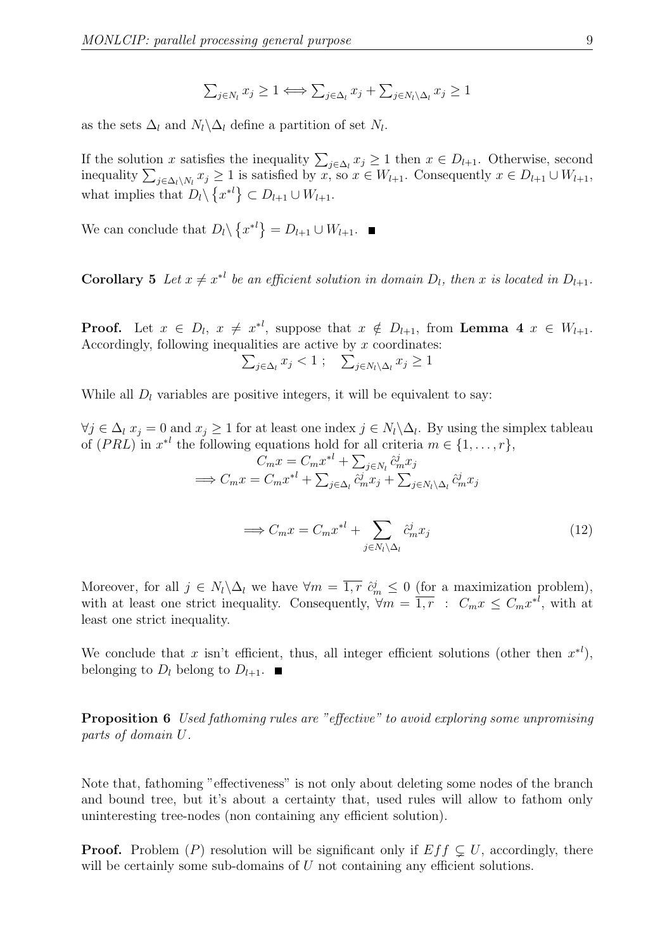$$
\sum_{j \in N_l} x_j \ge 1 \Longleftrightarrow \sum_{j \in \Delta_l} x_j + \sum_{j \in N_l \setminus \Delta_l} x_j \ge 1
$$

as the sets  $\Delta_l$  and  $N_l \backslash \Delta_l$  define a partition of set  $N_l$ .

If the solution x satisfies the inequality  $\sum_{j\in\Delta_l} x_j \geq 1$  then  $x \in D_{l+1}$ . Otherwise, second inequality  $\sum_{j\in\Delta_l\setminus N_l}x_j\geq 1$  is satisfied by  $x,$  so  $x\in W_{l+1}$ . Consequently  $x\in D_{l+1}\cup W_{l+1}$ , what implies that  $D_l \setminus \{x^{*l}\} \subset D_{l+1} \cup W_{l+1}.$ 

We can conclude that  $D_l \setminus \{x^{*l}\} = D_{l+1} \cup W_{l+1}.$ 

**Corollary 5** Let  $x \neq x^{*l}$  be an efficient solution in domain  $D_l$ , then x is located in  $D_{l+1}$ .

**Proof.** Let  $x \in D_l$ ,  $x \neq x^{*l}$ , suppose that  $x \notin D_{l+1}$ , from **Lemma 4**  $x \in W_{l+1}$ . Accordingly, following inequalities are active by  $x$  coordinates:

$$
\sum_{j \in \Delta_l} x_j < 1 \; ; \quad \sum_{j \in N_l \setminus \Delta_l} x_j \ge 1
$$

While all  $D_l$  variables are positive integers, it will be equivalent to say:

 $\forall j \in \Delta_l$   $x_j = 0$  and  $x_j \ge 1$  for at least one index  $j \in N_l \backslash \Delta_l$ . By using the simplex tableau of  $(PRL)$  in  $x^{*l}$  the following equations hold for all criteria  $m \in \{1, \ldots, r\}$ ,

$$
C_m x = C_m x^{*l} + \sum_{j \in N_l} \hat{c}_m^j x_j
$$
  
\n
$$
\implies C_m x = C_m x^{*l} + \sum_{j \in \Delta_l} \hat{c}_m^j x_j + \sum_{j \in N_l \setminus \Delta_l} \hat{c}_m^j x_j
$$

$$
\implies C_m x = C_m x^{*l} + \sum_{j \in N_l \setminus \Delta_l} \hat{c}_m^j x_j \tag{12}
$$

Moreover, for all  $j \in N_l \backslash \Delta_l$  we have  $\forall m = \overline{1, r} \; \hat{c}_m^j \leq 0$  (for a maximization problem), with at least one strict inequality. Consequently,  $\forall m = \overline{1, r} : C_m x \leq C_m x^{*l}$ , with at least one strict inequality.

We conclude that x isn't efficient, thus, all integer efficient solutions (other then  $x^{*l}$ ), belonging to  $D_l$  belong to  $D_{l+1}$ .

Proposition 6 Used fathoming rules are "effective" to avoid exploring some unpromising parts of domain U.

Note that, fathoming "effectiveness" is not only about deleting some nodes of the branch and bound tree, but it's about a certainty that, used rules will allow to fathom only uninteresting tree-nodes (non containing any efficient solution).

**Proof.** Problem (P) resolution will be significant only if  $Ef f \subsetneq U$ , accordingly, there will be certainly some sub-domains of  $U$  not containing any efficient solutions.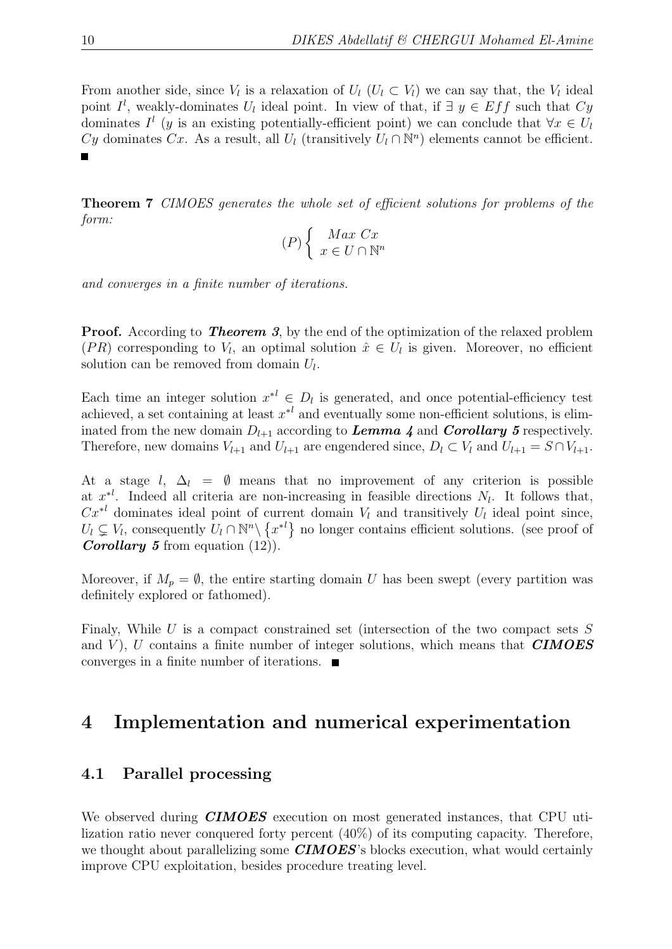From another side, since  $V_l$  is a relaxation of  $U_l$  ( $U_l \subset V_l$ ) we can say that, the  $V_l$  ideal point  $I^l$ , weakly-dominates  $U_l$  ideal point. In view of that, if  $\exists y \in Eff$  such that  $Cy$ dominates  $I^l$  (y is an existing potentially-efficient point) we can conclude that  $\forall x \in U_l$ Cy dominates Cx. As a result, all  $U_l$  (transitively  $U_l \cap \mathbb{N}^n$ ) elements cannot be efficient.  $\blacksquare$ 

Theorem 7 CIMOES generates the whole set of efficient solutions for problems of the form:

$$
(P)\left\{\begin{array}{c}\nMax\ Cx\\ \nx \in U \cap \mathbb{N}^n\end{array}\right.
$$

and converges in a finite number of iterations.

**Proof.** According to **Theorem 3**, by the end of the optimization of the relaxed problem (PR) corresponding to  $V_l$ , an optimal solution  $\hat{x} \in U_l$  is given. Moreover, no efficient solution can be removed from domain  $U_l$ .

Each time an integer solution  $x^{*l} \in D_l$  is generated, and once potential-efficiency test achieved, a set containing at least  $x^*{}^l$  and eventually some non-efficient solutions, is eliminated from the new domain  $D_{l+1}$  according to **Lemma 4** and **Corollary 5** respectively. Therefore, new domains  $V_{l+1}$  and  $U_{l+1}$  are engendered since,  $D_l \subset V_l$  and  $U_{l+1} = S \cap V_{l+1}$ .

At a stage  $l, \Delta_l = \emptyset$  means that no improvement of any criterion is possible at  $x^{*l}$ . Indeed all criteria are non-increasing in feasible directions  $N_l$ . It follows that,  $Cx^{*l}$  dominates ideal point of current domain  $V_l$  and transitively  $U_l$  ideal point since,  $U_l \subsetneq V_l$ , consequently  $U_l \cap \mathbb{N}^n \setminus \{x^{*l}\}\$  no longer contains efficient solutions. (see proof of **Corollary 5** from equation  $(12)$ .

Moreover, if  $M_p = \emptyset$ , the entire starting domain U has been swept (every partition was definitely explored or fathomed).

Finaly, While  $U$  is a compact constrained set (intersection of the two compact sets  $S$ and  $V$ ), U contains a finite number of integer solutions, which means that **CIMOES** converges in a finite number of iterations.

### 4 Implementation and numerical experimentation

#### 4.1 Parallel processing

We observed during **CIMOES** execution on most generated instances, that CPU utilization ratio never conquered forty percent (40%) of its computing capacity. Therefore, we thought about parallelizing some  $\mathbf{CIMOES}$ 's blocks execution, what would certainly improve CPU exploitation, besides procedure treating level.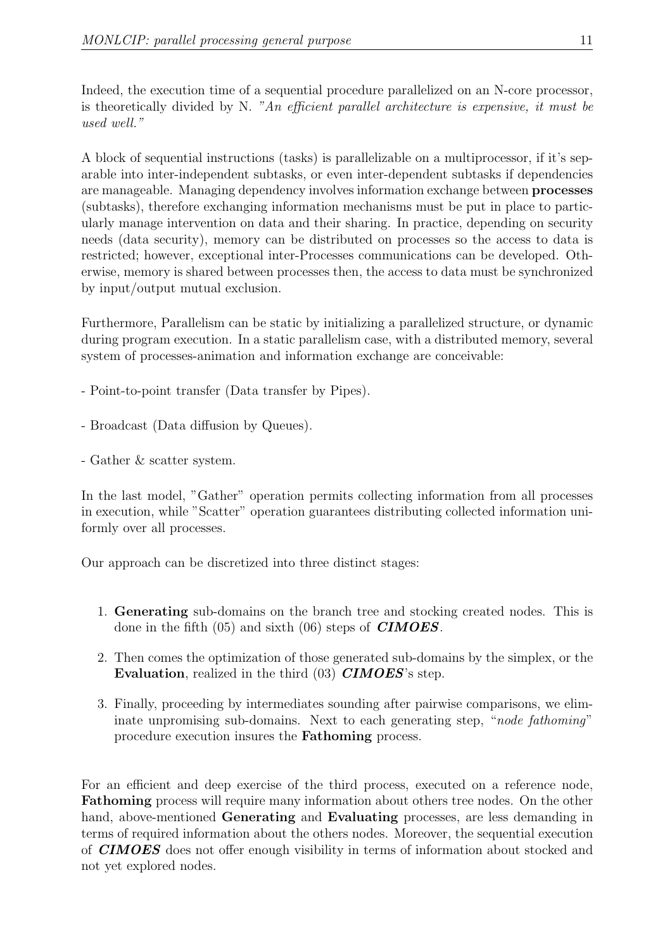Indeed, the execution time of a sequential procedure parallelized on an N-core processor, is theoretically divided by N. "An efficient parallel architecture is expensive, it must be used well."

A block of sequential instructions (tasks) is parallelizable on a multiprocessor, if it's separable into inter-independent subtasks, or even inter-dependent subtasks if dependencies are manageable. Managing dependency involves information exchange between processes (subtasks), therefore exchanging information mechanisms must be put in place to particularly manage intervention on data and their sharing. In practice, depending on security needs (data security), memory can be distributed on processes so the access to data is restricted; however, exceptional inter-Processes communications can be developed. Otherwise, memory is shared between processes then, the access to data must be synchronized by input/output mutual exclusion.

Furthermore, Parallelism can be static by initializing a parallelized structure, or dynamic during program execution. In a static parallelism case, with a distributed memory, several system of processes-animation and information exchange are conceivable:

- Point-to-point transfer (Data transfer by Pipes).
- Broadcast (Data diffusion by Queues).
- Gather & scatter system.

In the last model, "Gather" operation permits collecting information from all processes in execution, while "Scatter" operation guarantees distributing collected information uniformly over all processes.

Our approach can be discretized into three distinct stages:

- 1. Generating sub-domains on the branch tree and stocking created nodes. This is done in the fifth  $(05)$  and sixth  $(06)$  steps of **CIMOES**.
- 2. Then comes the optimization of those generated sub-domains by the simplex, or the Evaluation, realized in the third (03) **CIMOES**'s step.
- 3. Finally, proceeding by intermediates sounding after pairwise comparisons, we eliminate unpromising sub-domains. Next to each generating step, "node fathoming" procedure execution insures the Fathoming process.

For an efficient and deep exercise of the third process, executed on a reference node, Fathoming process will require many information about others tree nodes. On the other hand, above-mentioned **Generating** and **Evaluating** processes, are less demanding in terms of required information about the others nodes. Moreover, the sequential execution of **CIMOES** does not offer enough visibility in terms of information about stocked and not yet explored nodes.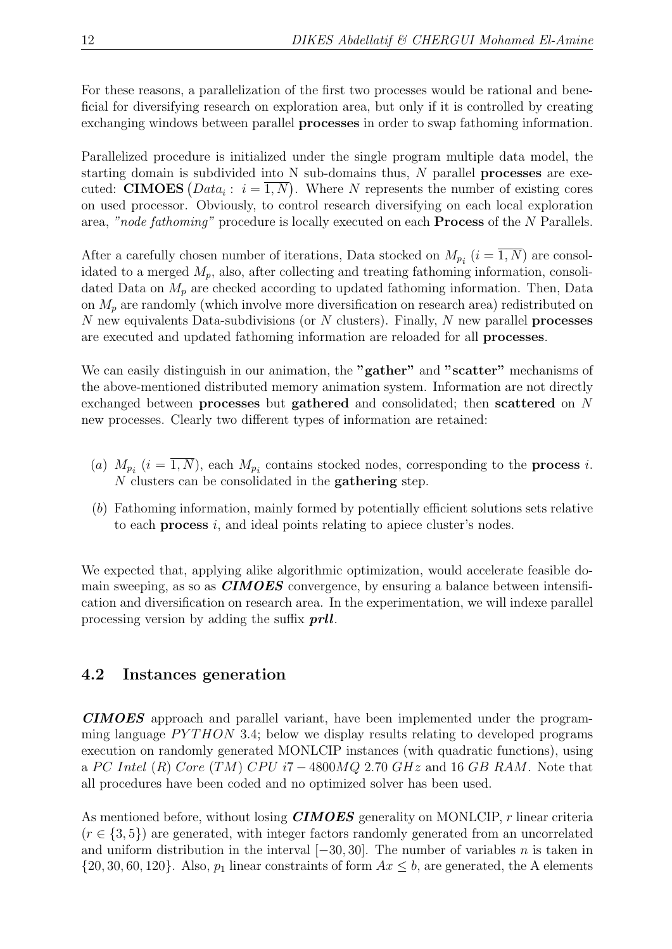For these reasons, a parallelization of the first two processes would be rational and beneficial for diversifying research on exploration area, but only if it is controlled by creating exchanging windows between parallel processes in order to swap fathoming information.

Parallelized procedure is initialized under the single program multiple data model, the starting domain is subdivided into  $N$  sub-domains thus,  $N$  parallel **processes** are executed: **CIMOES**  $(Data_i : i = \overline{1,N})$ . Where N represents the number of existing cores on used processor. Obviously, to control research diversifying on each local exploration area, "node fathoming" procedure is locally executed on each **Process** of the N Parallels.

After a carefully chosen number of iterations, Data stocked on  $M_{p_i}$   $(i = 1, N)$  are consolidated to a merged  $M_p$ , also, after collecting and treating fathoming information, consolidated Data on  $M_p$  are checked according to updated fathoming information. Then, Data on  $M_p$  are randomly (which involve more diversification on research area) redistributed on N new equivalents Data-subdivisions (or  $N$  clusters). Finally,  $N$  new parallel **processes** are executed and updated fathoming information are reloaded for all processes.

We can easily distinguish in our animation, the "gather" and "scatter" mechanisms of the above-mentioned distributed memory animation system. Information are not directly exchanged between processes but gathered and consolidated; then scattered on N new processes. Clearly two different types of information are retained:

- (a)  $M_{p_i}$  (i = 1, N), each  $M_{p_i}$  contains stocked nodes, corresponding to the **process** i.  $N$  clusters can be consolidated in the **gathering** step.
- (b) Fathoming information, mainly formed by potentially efficient solutions sets relative to each process i, and ideal points relating to apiece cluster's nodes.

We expected that, applying alike algorithmic optimization, would accelerate feasible domain sweeping, as so as **CIMOES** convergence, by ensuring a balance between intensification and diversification on research area. In the experimentation, we will indexe parallel processing version by adding the suffix *prll*.

### 4.2 Instances generation

CIMOES approach and parallel variant, have been implemented under the programming language  $PYTHON$  3.4; below we display results relating to developed programs execution on randomly generated MONLCIP instances (with quadratic functions), using a PC Intel (R) Core (TM) CPU i7 – 4800MQ 2.70 GHz and 16 GB RAM. Note that all procedures have been coded and no optimized solver has been used.

As mentioned before, without losing **CIMOES** generality on MONLCIP, r linear criteria  $(r \in \{3, 5\})$  are generated, with integer factors randomly generated from an uncorrelated and uniform distribution in the interval  $[-30, 30]$ . The number of variables n is taken in  $\{20, 30, 60, 120\}$ . Also,  $p_1$  linear constraints of form  $Ax \leq b$ , are generated, the A elements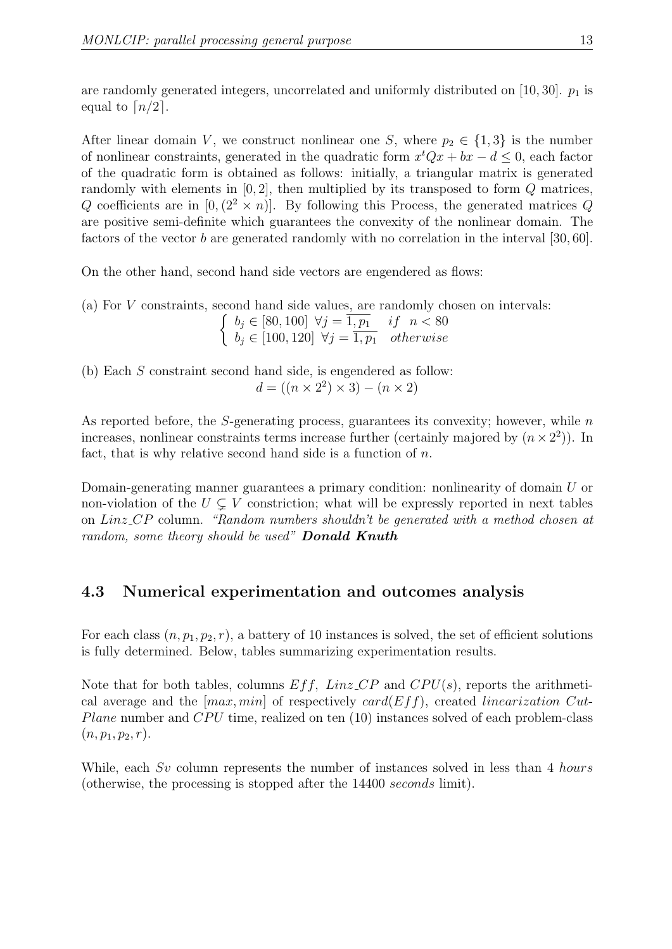are randomly generated integers, uncorrelated and uniformly distributed on [10, 30].  $p_1$  is equal to  $\lceil n/2 \rceil$ .

After linear domain V, we construct nonlinear one S, where  $p_2 \in \{1,3\}$  is the number of nonlinear constraints, generated in the quadratic form  $x^tQx + bx - d \leq 0$ , each factor of the quadratic form is obtained as follows: initially, a triangular matrix is generated randomly with elements in  $[0, 2]$ , then multiplied by its transposed to form  $Q$  matrices, Q coefficients are in  $[0,(2^2 \times n)]$ . By following this Process, the generated matrices Q are positive semi-definite which guarantees the convexity of the nonlinear domain. The factors of the vector b are generated randomly with no correlation in the interval [30, 60].

On the other hand, second hand side vectors are engendered as flows:

(a) For V constraints, second hand side values, are randomly chosen on intervals:

 $\int b_j \in [80, 100] \ \forall j = \overline{1, p_1} \quad if \ n < 80$  $b_j \in [100, 120] \ \forall j = \overline{1, p_1} \ \ otherwise$ 

(b) Each S constraint second hand side, is engendered as follow:  $d = ((n \times 2^2) \times 3) - (n \times 2)$ 

As reported before, the  $S$ -generating process, guarantees its convexity; however, while  $n$ increases, nonlinear constraints terms increase further (certainly majored by  $(n \times 2^2)$ ). In fact, that is why relative second hand side is a function of  $n$ .

Domain-generating manner guarantees a primary condition: nonlinearity of domain U or non-violation of the  $U \subsetneq V$  constriction; what will be expressly reported in next tables on Linz CP column. "Random numbers shouldn't be generated with a method chosen at random, some theory should be used" **Donald Knuth** 

### 4.3 Numerical experimentation and outcomes analysis

For each class  $(n, p_1, p_2, r)$ , a battery of 10 instances is solved, the set of efficient solutions is fully determined. Below, tables summarizing experimentation results.

Note that for both tables, columns  $Eff$ ,  $Linz$   $CP$  and  $CPU(s)$ , reports the arithmetical average and the  $(max, min]$  of respectively card( $Eff$ ), created linearization Cut-*Plane* number and  $CPU$  time, realized on ten  $(10)$  instances solved of each problem-class  $(n, p_1, p_2, r).$ 

While, each Sv column represents the number of instances solved in less than 4 hours (otherwise, the processing is stopped after the 14400 seconds limit).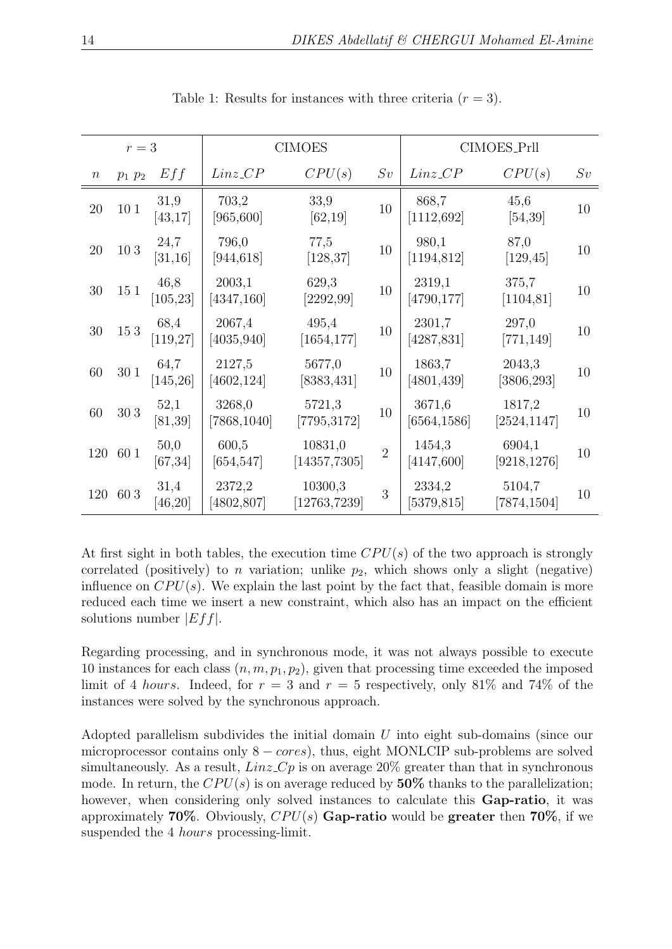| $r=3$            |             |                   | <b>CIMOES</b>          |                          |                | CIMOES_Prll            |                        |    |
|------------------|-------------|-------------------|------------------------|--------------------------|----------------|------------------------|------------------------|----|
| $\boldsymbol{n}$ | $p_1$ $p_2$ | Eff               | $Linz_CPP$             | CPU(s)                   | Sv             | $Linz_CPP$             | CPU(s)                 | Sv |
| 20               | 10 1        | 31,9<br>[43, 17]  | 703,2<br>[965, 600]    | 33,9<br>[62, 19]         | 10             | 868,7<br>[1112, 692]   | 45,6<br>[54, 39]       | 10 |
| 20               | 103         | 24,7<br>[31, 16]  | 796,0<br>[944, 618]    | 77,5<br>[128, 37]        | 10             | 980,1<br>[1194, 812]   | 87,0<br>[129, 45]      | 10 |
| 30               | 151         | 46,8<br>[105, 23] | 2003,1<br>[4347, 160]  | 629,3<br>[2292, 99]      | 10             | 2319,1<br>[4790,177]   | 375,7<br>[1104, 81]    | 10 |
| 30               | $15\,3$     | 68,4<br>[119, 27] | 2067,4<br>[4035, 940]  | 495,4<br>[1654, 177]     | 10             | 2301,7<br>[4287,831]   | 297,0<br>[771,149]     | 10 |
| 60               | $30\;1$     | 64,7<br>[145, 26] | 2127,5<br>[4602, 124]  | 5677,0<br>[8383, 431]    | 10             | 1863,7<br>[4801, 439]  | 2043,3<br>[3806, 293]  | 10 |
| 60               | 303         | 52,1<br>[81, 39]  | 3268,0<br>[7868, 1040] | 5721,3<br>[7795, 3172]   | 10             | 3671,6<br>[6564, 1586] | 1817,2<br>[2524, 1147] | 10 |
| 120              | 60 1        | 50,0<br>[67, 34]  | 600,5<br>[654,547]     | 10831,0<br>[14357, 7305] | $\overline{2}$ | 1454,3<br>4147,600     | 6904,1<br>[9218, 1276] | 10 |
| 120              | 603         | 31,4<br>[46, 20]  | 2372,2<br>4802,807     | 10300,3<br>[12763, 7239] | 3              | 2334,2<br>[5379,815]   | 5104,7<br>7874,1504    | 10 |

Table 1: Results for instances with three criteria  $(r = 3)$ .

At first sight in both tables, the execution time  $CPU(s)$  of the two approach is strongly correlated (positively) to n variation; unlike  $p_2$ , which shows only a slight (negative) influence on  $CPU(s)$ . We explain the last point by the fact that, feasible domain is more reduced each time we insert a new constraint, which also has an impact on the efficient solutions number  $|Eff|$ .

Regarding processing, and in synchronous mode, it was not always possible to execute 10 instances for each class  $(n, m, p_1, p_2)$ , given that processing time exceeded the imposed limit of 4 hours. Indeed, for  $r = 3$  and  $r = 5$  respectively, only 81% and 74% of the instances were solved by the synchronous approach.

Adopted parallelism subdivides the initial domain U into eight sub-domains (since our microprocessor contains only  $8 - cores$ , thus, eight MONLCIP sub-problems are solved simultaneously. As a result,  $Linz$ -Cp is on average 20% greater than that in synchronous mode. In return, the  $CPU(s)$  is on average reduced by 50% thanks to the parallelization; however, when considering only solved instances to calculate this **Gap-ratio**, it was approximately 70%. Obviously,  $CPU(s)$  Gap-ratio would be greater then 70%, if we suspended the 4 hours processing-limit.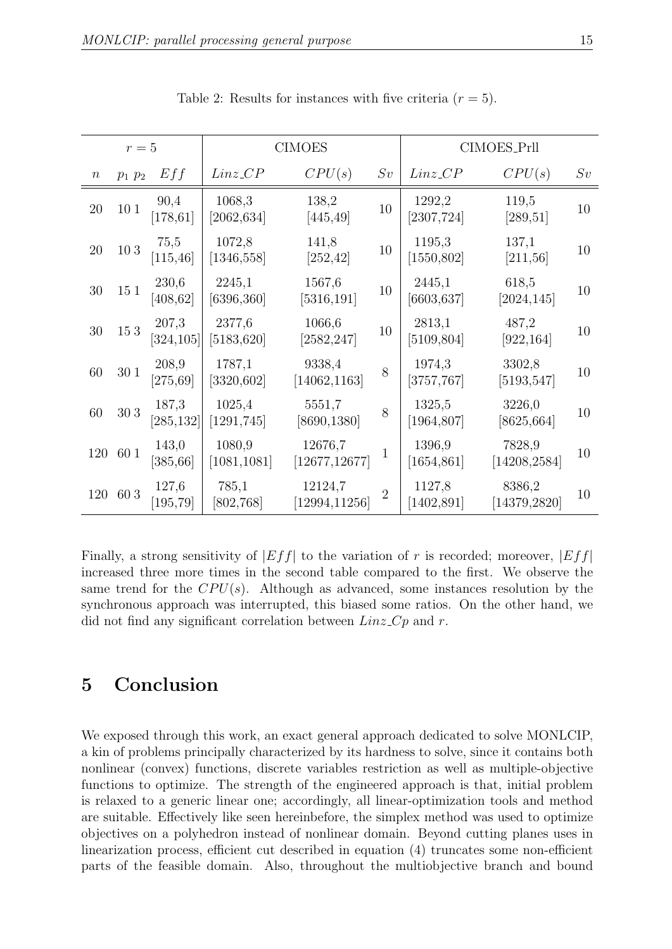| $r=5$            |                 |                     | <b>CIMOES</b>           |                           |                | CIMOES_Prll                         |                                     |    |
|------------------|-----------------|---------------------|-------------------------|---------------------------|----------------|-------------------------------------|-------------------------------------|----|
| $\boldsymbol{n}$ | $p_1$ $p_2$     | Eff                 | $Linz_CPP$              | CPU(s)                    | Sv             | $Linz_CPP$                          | CPU(s)                              | Sv |
| 20               | 10 <sub>1</sub> | 90,4<br>[178, 61]   | 1068,3<br>[2062, 634]   | 138,2<br>[445, 49]        | 10             | 1292,2<br>$\left[2307,\!724\right]$ | 119,5<br>[289, 51]                  | 10 |
| 20               | 103             | 75,5<br>[115, 46]   | 1072,8<br>[1346, 558]   | 141,8<br>[252, 42]        | 10             | 1195,3<br>[1550, 802]               | 137,1<br>[211, 56]                  | 10 |
| 30               | 151             | 230,6<br>[408, 62]  | 2245,1<br>[6396, 360]   | 1567,6<br>[5316, 191]     | 10             | 2445,1<br>[6603, 637]               | 618,5<br>[2024, 145]                | 10 |
| 30               | 153             | 207,3<br>[324, 105] | 2377,6<br>[5183, 620]   | 1066,6<br>[2582, 247]     | 10             | 2813,1<br>[5109, 804]               | 487,2<br>[922, 164]                 | 10 |
| 60               | 30 1            | 208,9<br>[275, 69]  | 1787,1<br>$[3320, 602]$ | 9338,4<br>[14062, 1163]   | 8              | 1974,3<br>$[3757,767]$              | 3302,8<br>[5193,547]                | 10 |
| 60               | 303             | 187,3<br>[285, 132] | 1025,4<br>$[1291,745]$  | 5551,7<br>[8690, 1380]    | 8              | 1325,5<br>[1964, 807]               | 3226,0<br>[8625, 664]               | 10 |
| 120              | 60 1            | 143,0<br>[385, 66]  | 1080,9<br>[1081, 1081]  | 12676,7<br>[12677, 12677] | 1              | 1396,9<br>[1654, 861]               | 7828,9<br>$\left[14208,2584\right]$ | 10 |
| 120              | 603             | 127,6<br>[195, 79]  | 785,1<br>[802, 768]     | 12124,7<br>[12994, 11256] | $\overline{2}$ | 1127,8<br>[1402, 891]               | 8386,2<br>[14379,2820]              | 10 |

Table 2: Results for instances with five criteria  $(r = 5)$ .

Finally, a strong sensitivity of  $|Eff|$  to the variation of r is recorded; moreover,  $|Eff|$ increased three more times in the second table compared to the first. We observe the same trend for the  $CPU(s)$ . Although as advanced, some instances resolution by the synchronous approach was interrupted, this biased some ratios. On the other hand, we did not find any significant correlation between  $Linz\_{Cp}$  and r.

### 5 Conclusion

We exposed through this work, an exact general approach dedicated to solve MONLCIP, a kin of problems principally characterized by its hardness to solve, since it contains both nonlinear (convex) functions, discrete variables restriction as well as multiple-objective functions to optimize. The strength of the engineered approach is that, initial problem is relaxed to a generic linear one; accordingly, all linear-optimization tools and method are suitable. Effectively like seen hereinbefore, the simplex method was used to optimize objectives on a polyhedron instead of nonlinear domain. Beyond cutting planes uses in linearization process, efficient cut described in equation (4) truncates some non-efficient parts of the feasible domain. Also, throughout the multiobjective branch and bound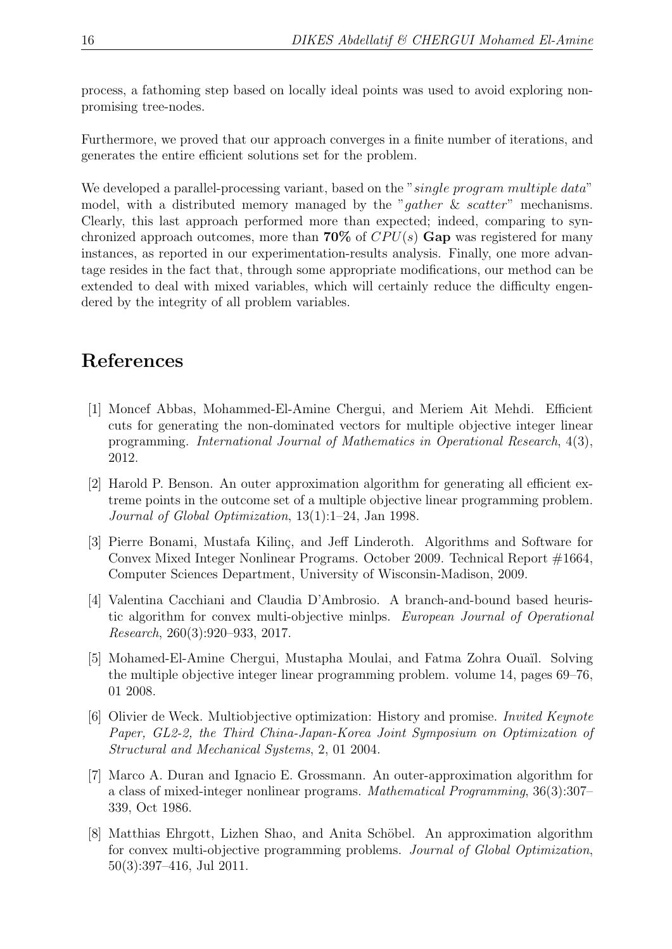process, a fathoming step based on locally ideal points was used to avoid exploring nonpromising tree-nodes.

Furthermore, we proved that our approach converges in a finite number of iterations, and generates the entire efficient solutions set for the problem.

We developed a parallel-processing variant, based on the "single program multiple data" model, with a distributed memory managed by the "gather  $\&$  scatter" mechanisms. Clearly, this last approach performed more than expected; indeed, comparing to synchronized approach outcomes, more than 70% of  $CPU(s)$  Gap was registered for many instances, as reported in our experimentation-results analysis. Finally, one more advantage resides in the fact that, through some appropriate modifications, our method can be extended to deal with mixed variables, which will certainly reduce the difficulty engendered by the integrity of all problem variables.

## References

- [1] Moncef Abbas, Mohammed-El-Amine Chergui, and Meriem Ait Mehdi. Efficient cuts for generating the non-dominated vectors for multiple objective integer linear programming. International Journal of Mathematics in Operational Research, 4(3), 2012.
- [2] Harold P. Benson. An outer approximation algorithm for generating all efficient extreme points in the outcome set of a multiple objective linear programming problem. Journal of Global Optimization, 13(1):1–24, Jan 1998.
- [3] Pierre Bonami, Mustafa Kilinç, and Jeff Linderoth. Algorithms and Software for Convex Mixed Integer Nonlinear Programs. October 2009. Technical Report #1664, Computer Sciences Department, University of Wisconsin-Madison, 2009.
- [4] Valentina Cacchiani and Claudia D'Ambrosio. A branch-and-bound based heuristic algorithm for convex multi-objective minlps. European Journal of Operational Research, 260(3):920–933, 2017.
- [5] Mohamed-El-Amine Chergui, Mustapha Moulai, and Fatma Zohra Ouaïl. Solving the multiple objective integer linear programming problem. volume 14, pages 69–76, 01 2008.
- [6] Olivier de Weck. Multiobjective optimization: History and promise. Invited Keynote Paper, GL2-2, the Third China-Japan-Korea Joint Symposium on Optimization of Structural and Mechanical Systems, 2, 01 2004.
- [7] Marco A. Duran and Ignacio E. Grossmann. An outer-approximation algorithm for a class of mixed-integer nonlinear programs. Mathematical Programming, 36(3):307– 339, Oct 1986.
- [8] Matthias Ehrgott, Lizhen Shao, and Anita Schöbel. An approximation algorithm for convex multi-objective programming problems. Journal of Global Optimization, 50(3):397–416, Jul 2011.